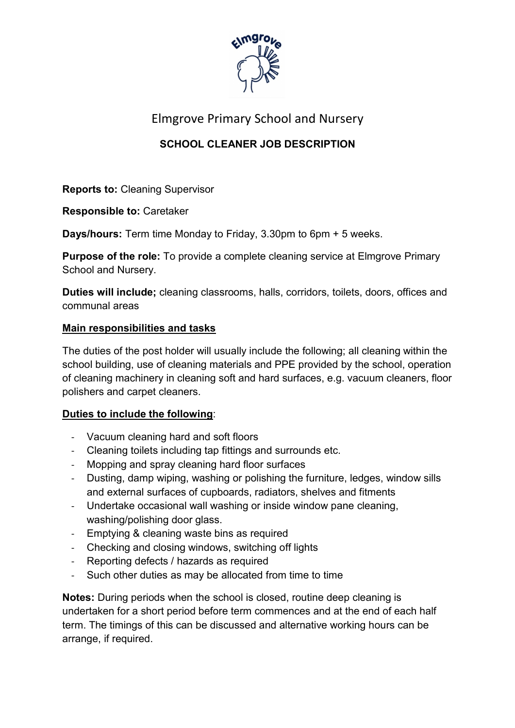

### Elmgrove Primary School and Nursery

### SCHOOL CLEANER JOB DESCRIPTION

Reports to: Cleaning Supervisor

Responsible to: Caretaker

Days/hours: Term time Monday to Friday, 3.30pm to 6pm + 5 weeks.

**Purpose of the role:** To provide a complete cleaning service at Elmgrove Primary School and Nursery.

Duties will include; cleaning classrooms, halls, corridors, toilets, doors, offices and communal areas

#### Main responsibilities and tasks

The duties of the post holder will usually include the following; all cleaning within the school building, use of cleaning materials and PPE provided by the school, operation of cleaning machinery in cleaning soft and hard surfaces, e.g. vacuum cleaners, floor polishers and carpet cleaners.

#### Duties to include the following:

- Vacuum cleaning hard and soft floors
- Cleaning toilets including tap fittings and surrounds etc.
- Mopping and spray cleaning hard floor surfaces
- Dusting, damp wiping, washing or polishing the furniture, ledges, window sills and external surfaces of cupboards, radiators, shelves and fitments
- Undertake occasional wall washing or inside window pane cleaning, washing/polishing door glass.
- Emptying & cleaning waste bins as required
- Checking and closing windows, switching off lights
- Reporting defects / hazards as required
- Such other duties as may be allocated from time to time

Notes: During periods when the school is closed, routine deep cleaning is undertaken for a short period before term commences and at the end of each half term. The timings of this can be discussed and alternative working hours can be arrange, if required.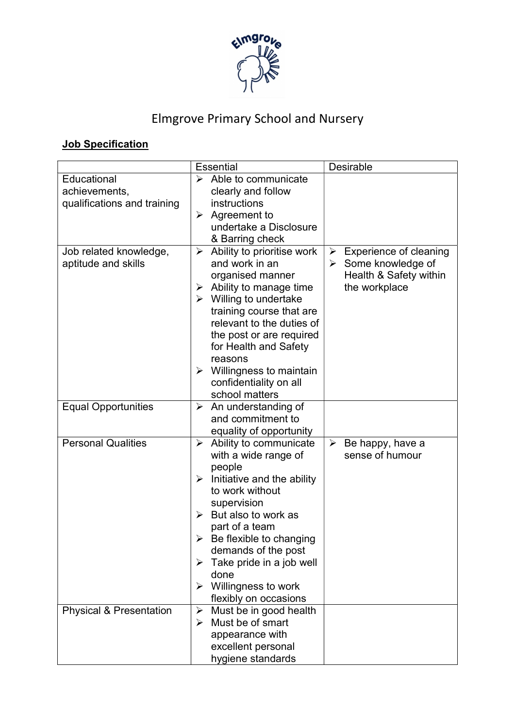

# Elmgrove Primary School and Nursery

## **Job Specification**

|                                                             | <b>Essential</b>                                                                                                                                                                                                                                                                                                                                                                   | Desirable                                                                                                                |
|-------------------------------------------------------------|------------------------------------------------------------------------------------------------------------------------------------------------------------------------------------------------------------------------------------------------------------------------------------------------------------------------------------------------------------------------------------|--------------------------------------------------------------------------------------------------------------------------|
| Educational<br>achievements,<br>qualifications and training | $\triangleright$ Able to communicate<br>clearly and follow<br>instructions<br>$\triangleright$ Agreement to<br>undertake a Disclosure<br>& Barring check                                                                                                                                                                                                                           |                                                                                                                          |
| Job related knowledge,<br>aptitude and skills               | Ability to prioritise work<br>$\blacktriangleright$<br>and work in an<br>organised manner<br>Ability to manage time<br>➤<br>$\triangleright$ Willing to undertake<br>training course that are<br>relevant to the duties of<br>the post or are required<br>for Health and Safety<br>reasons<br>$\triangleright$ Willingness to maintain<br>confidentiality on all<br>school matters | $\triangleright$ Experience of cleaning<br>$\triangleright$ Some knowledge of<br>Health & Safety within<br>the workplace |
| <b>Equal Opportunities</b>                                  | $\triangleright$ An understanding of<br>and commitment to<br>equality of opportunity                                                                                                                                                                                                                                                                                               |                                                                                                                          |
| <b>Personal Qualities</b>                                   | Ability to communicate<br>➤<br>with a wide range of<br>people<br>Initiative and the ability<br>$\blacktriangleright$<br>to work without<br>supervision<br>$\triangleright$ But also to work as<br>part of a team<br>Be flexible to changing<br>➤<br>demands of the post<br>$\triangleright$ Take pride in a job well<br>done<br>Willingness to work<br>➤<br>flexibly on occasions  | $\triangleright$ Be happy, have a<br>sense of humour                                                                     |
| <b>Physical &amp; Presentation</b>                          | $\triangleright$ Must be in good health<br>Must be of smart<br>➤<br>appearance with<br>excellent personal<br>hygiene standards                                                                                                                                                                                                                                                     |                                                                                                                          |